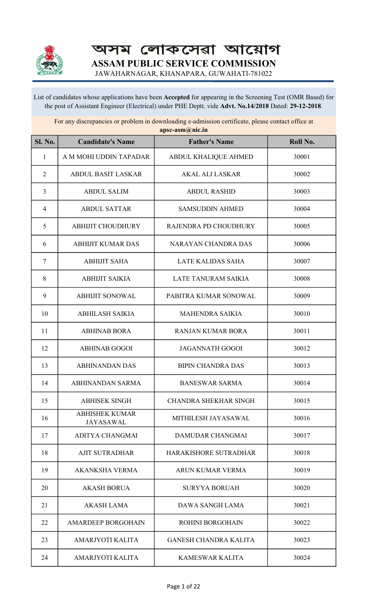

অসম লোকসেৱা আয়োগ ASSAM PUBLIC SERVICE COMMISSION

JAWAHARNAGAR, KHANAPARA, GUWAHATI-781022

List of candidates whose applications have been Accepted for appearing in the Screening Test (OMR Based) for the post of Assistant Engineer (Electrical) under PHE Deptt. vide Advt. No.14/2018 Dated: 29-12-2018.

For any discrepancies or problem in downloading e-admission certificate, please contact office at apsc-asm@nic.in

| Sl. No.        | <b>Candidate's Name</b>                   | <b>Father's Name</b>         | Roll No. |
|----------------|-------------------------------------------|------------------------------|----------|
| $\mathbf{1}$   | A M MOHI UDDIN TAPADAR                    | ABDUL KHALIQUE AHMED         | 30001    |
| $\sqrt{2}$     | <b>ABDUL BASIT LASKAR</b>                 | <b>AKAL ALI LASKAR</b>       | 30002    |
| 3              | <b>ABDUL SALIM</b>                        | <b>ABDUL RASHID</b>          | 30003    |
| $\overline{4}$ | <b>ABDUL SATTAR</b>                       | <b>SAMSUDDIN AHMED</b>       | 30004    |
| 5              | <b>ABHIJIT CHOUDHURY</b>                  | RAJENDRA PD CHOUDHURY        | 30005    |
| 6              | <b>ABHIJIT KUMAR DAS</b>                  | NARAYAN CHANDRA DAS          | 30006    |
| 7              | <b>ABHIJIT SAHA</b>                       | <b>LATE KALIDAS SAHA</b>     | 30007    |
| 8              | <b>ABHIJIT SAIKIA</b>                     | <b>LATE TANURAM SAIKIA</b>   | 30008    |
| 9              | <b>ABHIJIT SONOWAL</b>                    | PABITRA KUMAR SONOWAL        | 30009    |
| 10             | <b>ABHILASH SAIKIA</b>                    | <b>MAHENDRA SAIKIA</b>       | 30010    |
| 11             | <b>ABHINAB BORA</b>                       | <b>RANJAN KUMAR BORA</b>     | 30011    |
| 12             | <b>ABHINAB GOGOI</b>                      | <b>JAGANNATH GOGOI</b>       | 30012    |
| 13             | <b>ABHINANDAN DAS</b>                     | <b>BIPIN CHANDRA DAS</b>     | 30013    |
| 14             | ABHINANDAN SARMA                          | <b>BANESWAR SARMA</b>        | 30014    |
| 15             | <b>ABHISEK SINGH</b>                      | <b>CHANDRA SHEKHAR SINGH</b> | 30015    |
| 16             | <b>ABHISHEK KUMAR</b><br><b>JAYASAWAL</b> | MITHILESH JAYASAWAL          | 30016    |
| 17             | ADITYA CHANGMAI                           | DAMUDAR CHANGMAI             | 30017    |
| 18             | <b>AJIT SUTRADHAR</b>                     | HARAKISHORE SUTRADHAR        | 30018    |
| 19             | <b>AKANKSHA VERMA</b>                     | ARUN KUMAR VERMA             | 30019    |
| 20             | <b>AKASH BORUA</b>                        | <b>SURYYA BORUAH</b>         | 30020    |
| 21             | <b>AKASH LAMA</b>                         | DAWA SANGH LAMA              | 30021    |
| 22             | <b>AMARDEEP BORGOHAIN</b>                 | <b>ROHINI BORGOHAIN</b>      | 30022    |
| 23             | AMARJYOTI KALITA                          | <b>GANESH CHANDRA KALITA</b> | 30023    |
| 24             | AMARJYOTI KALITA                          | <b>KAMESWAR KALITA</b>       | 30024    |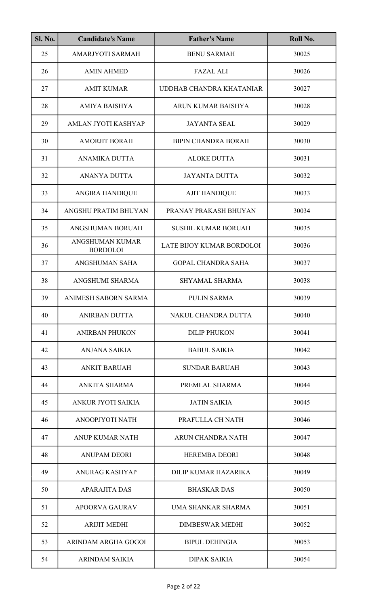| <b>Sl. No.</b> | <b>Candidate's Name</b>                   | <b>Father's Name</b>       | Roll No. |
|----------------|-------------------------------------------|----------------------------|----------|
| 25             | AMARJYOTI SARMAH                          | <b>BENU SARMAH</b>         | 30025    |
| 26             | <b>AMIN AHMED</b>                         | <b>FAZAL ALI</b>           | 30026    |
| 27             | <b>AMIT KUMAR</b>                         | UDDHAB CHANDRA KHATANIAR   | 30027    |
| 28             | <b>AMIYA BAISHYA</b>                      | ARUN KUMAR BAISHYA         | 30028    |
| 29             | AMLAN JYOTI KASHYAP                       | <b>JAYANTA SEAL</b>        | 30029    |
| 30             | <b>AMORJIT BORAH</b>                      | <b>BIPIN CHANDRA BORAH</b> | 30030    |
| 31             | <b>ANAMIKA DUTTA</b>                      | <b>ALOKE DUTTA</b>         | 30031    |
| 32             | <b>ANANYA DUTTA</b>                       | <b>JAYANTA DUTTA</b>       | 30032    |
| 33             | <b>ANGIRA HANDIQUE</b>                    | <b>AJIT HANDIQUE</b>       | 30033    |
| 34             | ANGSHU PRATIM BHUYAN                      | PRANAY PRAKASH BHUYAN      | 30034    |
| 35             | ANGSHUMAN BORUAH                          | <b>SUSHIL KUMAR BORUAH</b> | 30035    |
| 36             | <b>ANGSHUMAN KUMAR</b><br><b>BORDOLOI</b> | LATE BIJOY KUMAR BORDOLOI  | 30036    |
| 37             | ANGSHUMAN SAHA                            | <b>GOPAL CHANDRA SAHA</b>  | 30037    |
| 38             | ANGSHUMI SHARMA                           | SHYAMAL SHARMA             | 30038    |
| 39             | ANIMESH SABORN SARMA                      | PULIN SARMA                | 30039    |
| 40             | <b>ANIRBAN DUTTA</b>                      | NAKUL CHANDRA DUTTA        | 30040    |
| 41             | <b>ANIRBAN PHUKON</b>                     | <b>DILIP PHUKON</b>        | 30041    |
| 42             | ANJANA SAIKIA                             | <b>BABUL SAIKIA</b>        | 30042    |
| 43             | <b>ANKIT BARUAH</b>                       | <b>SUNDAR BARUAH</b>       | 30043    |
| 44             | ANKITA SHARMA                             | PREMLAL SHARMA             | 30044    |
| 45             | ANKUR JYOTI SAIKIA                        | <b>JATIN SAIKIA</b>        | 30045    |
| 46             | ANOOPJYOTI NATH                           | PRAFULLA CH NATH           | 30046    |
| 47             | ANUP KUMAR NATH                           | ARUN CHANDRA NATH          | 30047    |
| 48             | <b>ANUPAM DEORI</b>                       | <b>HEREMBA DEORI</b>       | 30048    |
| 49             | <b>ANURAG KASHYAP</b>                     | DILIP KUMAR HAZARIKA       | 30049    |
| 50             | <b>APARAJITA DAS</b>                      | <b>BHASKAR DAS</b>         | 30050    |
| 51             | <b>APOORVA GAURAV</b>                     | UMA SHANKAR SHARMA         | 30051    |
| 52             | <b>ARIJIT MEDHI</b>                       | <b>DIMBESWAR MEDHI</b>     | 30052    |
| 53             | ARINDAM ARGHA GOGOI                       | <b>BIPUL DEHINGIA</b>      | 30053    |
| 54             | <b>ARINDAM SAIKIA</b>                     | <b>DIPAK SAIKIA</b>        | 30054    |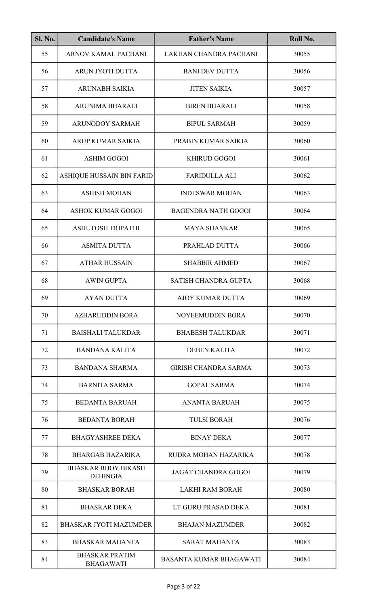| <b>Sl. No.</b> | <b>Candidate's Name</b>                        | <b>Father's Name</b>           | Roll No. |
|----------------|------------------------------------------------|--------------------------------|----------|
| 55             | ARNOV KAMAL PACHANI                            | LAKHAN CHANDRA PACHANI         | 30055    |
| 56             | ARUN JYOTI DUTTA                               | <b>BANI DEV DUTTA</b>          | 30056    |
| 57             | <b>ARUNABH SAIKIA</b>                          | <b>JITEN SAIKIA</b>            | 30057    |
| 58             | ARUNIMA BHARALI                                | <b>BIREN BHARALI</b>           | 30058    |
| 59             | <b>ARUNODOY SARMAH</b>                         | <b>BIPUL SARMAH</b>            | 30059    |
| 60             | ARUP KUMAR SAIKIA                              | PRABIN KUMAR SAIKIA            | 30060    |
| 61             | <b>ASHIM GOGOI</b>                             | <b>KHIRUD GOGOI</b>            | 30061    |
| 62             | ASHIQUE HUSSAIN BIN FARID                      | <b>FARIDULLA ALI</b>           | 30062    |
| 63             | <b>ASHISH MOHAN</b>                            | <b>INDESWAR MOHAN</b>          | 30063    |
| 64             | <b>ASHOK KUMAR GOGOI</b>                       | <b>BAGENDRA NATH GOGOI</b>     | 30064    |
| 65             | ASHUTOSH TRIPATHI                              | <b>MAYA SHANKAR</b>            | 30065    |
| 66             | <b>ASMITA DUTTA</b>                            | PRAHLAD DUTTA                  | 30066    |
| 67             | <b>ATHAR HUSSAIN</b>                           | <b>SHABBIR AHMED</b>           | 30067    |
| 68             | <b>AWIN GUPTA</b>                              | SATISH CHANDRA GUPTA           | 30068    |
| 69             | AYAN DUTTA                                     | AJOY KUMAR DUTTA               | 30069    |
| 70             | <b>AZHARUDDIN BORA</b>                         | NOYEEMUDDIN BORA               | 30070    |
| 71             | <b>BAISHALI TALUKDAR</b>                       | <b>BHABESH TALUKDAR</b>        | 30071    |
| 72             | <b>BANDANA KALITA</b>                          | <b>DEBEN KALITA</b>            | 30072    |
| 73             | <b>BANDANA SHARMA</b>                          | <b>GIRISH CHANDRA SARMA</b>    | 30073    |
| 74             | <b>BARNITA SARMA</b>                           | <b>GOPAL SARMA</b>             | 30074    |
| 75             | <b>BEDANTA BARUAH</b>                          | <b>ANANTA BARUAH</b>           | 30075    |
| 76             | <b>BEDANTA BORAH</b>                           | <b>TULSI BORAH</b>             | 30076    |
| 77             | <b>BHAGYASHREE DEKA</b>                        | <b>BINAY DEKA</b>              | 30077    |
| 78             | <b>BHARGAB HAZARIKA</b>                        | RUDRA MOHAN HAZARIKA           | 30078    |
| 79             | <b>BHASKAR BIJOY BIKASH</b><br><b>DEHINGIA</b> | <b>JAGAT CHANDRA GOGOI</b>     | 30079    |
| 80             | <b>BHASKAR BORAH</b>                           | <b>LAKHI RAM BORAH</b>         | 30080    |
| 81             | <b>BHASKAR DEKA</b>                            | LT GURU PRASAD DEKA            | 30081    |
| 82             | <b>BHASKAR JYOTI MAZUMDER</b>                  | <b>BHAJAN MAZUMDER</b>         | 30082    |
| 83             | <b>BHASKAR MAHANTA</b>                         | <b>SARAT MAHANTA</b>           | 30083    |
| 84             | <b>BHASKAR PRATIM</b><br><b>BHAGAWATI</b>      | <b>BASANTA KUMAR BHAGAWATI</b> | 30084    |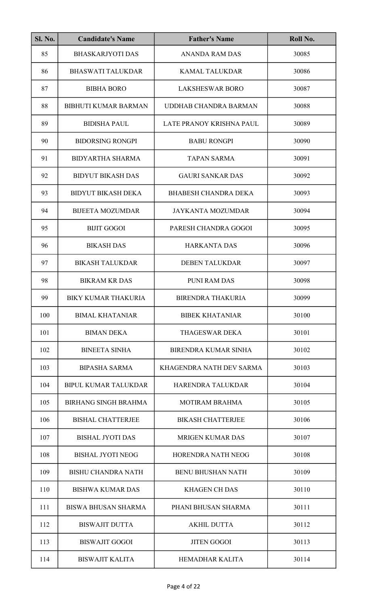| SI. No. | <b>Candidate's Name</b>     | <b>Father's Name</b>         | Roll No. |
|---------|-----------------------------|------------------------------|----------|
| 85      | <b>BHASKARJYOTI DAS</b>     | <b>ANANDA RAM DAS</b>        | 30085    |
| 86      | <b>BHASWATI TALUKDAR</b>    | <b>KAMAL TALUKDAR</b>        | 30086    |
| 87      | <b>BIBHA BORO</b>           | <b>LAKSHESWAR BORO</b>       | 30087    |
| 88      | <b>BIBHUTI KUMAR BARMAN</b> | <b>UDDHAB CHANDRA BARMAN</b> | 30088    |
| 89      | <b>BIDISHA PAUL</b>         | LATE PRANOY KRISHNA PAUL     | 30089    |
| 90      | <b>BIDORSING RONGPI</b>     | <b>BABU RONGPI</b>           | 30090    |
| 91      | <b>BIDYARTHA SHARMA</b>     | <b>TAPAN SARMA</b>           | 30091    |
| 92      | <b>BIDYUT BIKASH DAS</b>    | <b>GAURI SANKAR DAS</b>      | 30092    |
| 93      | <b>BIDYUT BIKASH DEKA</b>   | <b>BHABESH CHANDRA DEKA</b>  | 30093    |
| 94      | <b>BIJEETA MOZUMDAR</b>     | <b>JAYKANTA MOZUMDAR</b>     | 30094    |
| 95      | <b>BIJIT GOGOI</b>          | PARESH CHANDRA GOGOI         | 30095    |
| 96      | <b>BIKASH DAS</b>           | <b>HARKANTA DAS</b>          | 30096    |
| 97      | <b>BIKASH TALUKDAR</b>      | <b>DEBEN TALUKDAR</b>        | 30097    |
| 98      | <b>BIKRAM KR DAS</b>        | PUNI RAM DAS                 | 30098    |
| 99      | <b>BIKY KUMAR THAKURIA</b>  | <b>BIRENDRA THAKURIA</b>     | 30099    |
| 100     | <b>BIMAL KHATANIAR</b>      | <b>BIBEK KHATANIAR</b>       | 30100    |
| 101     | <b>BIMAN DEKA</b>           | <b>THAGESWAR DEKA</b>        | 30101    |
| 102     | <b>BINEETA SINHA</b>        | <b>BIRENDRA KUMAR SINHA</b>  | 30102    |
| 103     | <b>BIPASHA SARMA</b>        | KHAGENDRA NATH DEV SARMA     | 30103    |
| 104     | <b>BIPUL KUMAR TALUKDAR</b> | HARENDRA TALUKDAR            | 30104    |
| 105     | <b>BIRHANG SINGH BRAHMA</b> | <b>MOTIRAM BRAHMA</b>        | 30105    |
| 106     | <b>BISHAL CHATTERJEE</b>    | <b>BIKASH CHATTERJEE</b>     | 30106    |
| 107     | <b>BISHAL JYOTI DAS</b>     | <b>MRIGEN KUMAR DAS</b>      | 30107    |
| 108     | <b>BISHAL JYOTI NEOG</b>    | HORENDRA NATH NEOG           | 30108    |
| 109     | <b>BISHU CHANDRA NATH</b>   | <b>BENU BHUSHAN NATH</b>     | 30109    |
| 110     | <b>BISHWA KUMAR DAS</b>     | <b>KHAGEN CH DAS</b>         | 30110    |
| 111     | <b>BISWA BHUSAN SHARMA</b>  | PHANI BHUSAN SHARMA          | 30111    |
| 112     | <b>BISWAJIT DUTTA</b>       | <b>AKHIL DUTTA</b>           | 30112    |
| 113     | <b>BISWAJIT GOGOI</b>       | <b>JITEN GOGOI</b>           | 30113    |
| 114     | <b>BISWAJIT KALITA</b>      | <b>HEMADHAR KALITA</b>       | 30114    |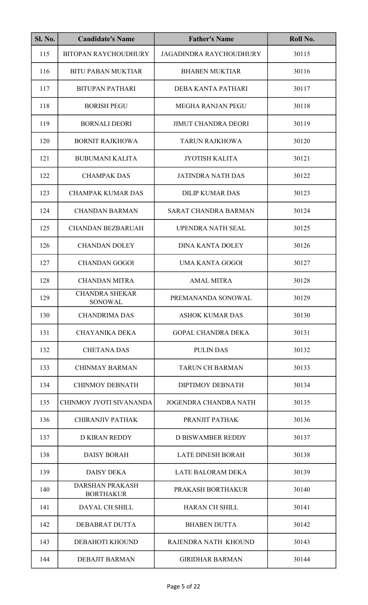| <b>Sl. No.</b> | <b>Candidate's Name</b>                    | <b>Father's Name</b>           | Roll No. |
|----------------|--------------------------------------------|--------------------------------|----------|
| 115            | <b>BITOPAN RAYCHOUDHURY</b>                | <b>JAGADINDRA RAYCHOUDHURY</b> | 30115    |
| 116            | <b>BITU PABAN MUKTIAR</b>                  | <b>BHABEN MUKTIAR</b>          | 30116    |
| 117            | <b>BITUPAN PATHARI</b>                     | DEBA KANTA PATHARI             | 30117    |
| 118            | <b>BORISH PEGU</b>                         | MEGHA RANJAN PEGU              | 30118    |
| 119            | <b>BORNALI DEORI</b>                       | <b>JIMUT CHANDRA DEORI</b>     | 30119    |
| 120            | <b>BORNIT RAJKHOWA</b>                     | <b>TARUN RAJKHOWA</b>          | 30120    |
| 121            | <b>BUBUMANI KALITA</b>                     | <b>JYOTISH KALITA</b>          | 30121    |
| 122            | <b>CHAMPAK DAS</b>                         | <b>JATINDRA NATH DAS</b>       | 30122    |
| 123            | <b>CHAMPAK KUMAR DAS</b>                   | <b>DILIP KUMAR DAS</b>         | 30123    |
| 124            | <b>CHANDAN BARMAN</b>                      | <b>SARAT CHANDRA BARMAN</b>    | 30124    |
| 125            | <b>CHANDAN BEZBARUAH</b>                   | <b>UPENDRA NATH SEAL</b>       | 30125    |
| 126            | <b>CHANDAN DOLEY</b>                       | <b>DINA KANTA DOLEY</b>        | 30126    |
| 127            | <b>CHANDAN GOGOI</b>                       | <b>UMA KANTA GOGOI</b>         | 30127    |
| 128            | <b>CHANDAN MITRA</b>                       | <b>AMAL MITRA</b>              | 30128    |
| 129            | <b>CHANDRA SHEKAR</b><br><b>SONOWAL</b>    | PREMANANDA SONOWAL             | 30129    |
| 130            | <b>CHANDRIMA DAS</b>                       | <b>ASHOK KUMAR DAS</b>         | 30130    |
| 131            | <b>CHAYANIKA DEKA</b>                      | <b>GOPAL CHANDRA DEKA</b>      | 30131    |
| 132            | <b>CHETANA DAS</b>                         | <b>PULIN DAS</b>               | 30132    |
| 133            | <b>CHINMAY BARMAN</b>                      | <b>TARUN CH BARMAN</b>         | 30133    |
| 134            | <b>CHINMOY DEBNATH</b>                     | <b>DIPTIMOY DEBNATH</b>        | 30134    |
| 135            | CHINMOY JYOTI SIVANANDA                    | <b>JOGENDRA CHANDRA NATH</b>   | 30135    |
| 136            | <b>CHIRANJIV PATHAK</b>                    | PRANJIT PATHAK                 | 30136    |
| 137            | <b>D KIRAN REDDY</b>                       | <b>D BISWAMBER REDDY</b>       | 30137    |
| 138            | <b>DAISY BORAH</b>                         | <b>LATE DINESH BORAH</b>       | 30138    |
| 139            | <b>DAISY DEKA</b>                          | <b>LATE BALORAM DEKA</b>       | 30139    |
| 140            | <b>DARSHAN PRAKASH</b><br><b>BORTHAKUR</b> | PRAKASH BORTHAKUR              | 30140    |
| 141            | <b>DAYAL CH SHILL</b>                      | <b>HARAN CH SHILL</b>          | 30141    |
| 142            | DEBABRAT DUTTA                             | <b>BHABEN DUTTA</b>            | 30142    |
| 143            | DEBAHOTI KHOUND                            | RAJENDRA NATH KHOUND           | 30143    |
| 144            | <b>DEBAJIT BARMAN</b>                      | <b>GIRIDHAR BARMAN</b>         | 30144    |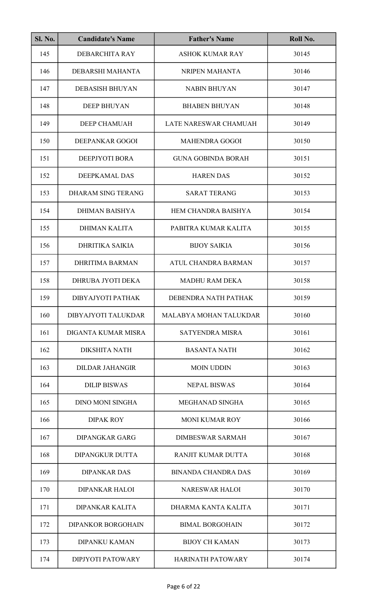| <b>Sl. No.</b> | <b>Candidate's Name</b>   | <b>Father's Name</b>       | Roll No. |
|----------------|---------------------------|----------------------------|----------|
| 145            | DEBARCHITA RAY            | <b>ASHOK KUMAR RAY</b>     | 30145    |
| 146            | DEBARSHI MAHANTA          | NRIPEN MAHANTA             | 30146    |
| 147            | <b>DEBASISH BHUYAN</b>    | <b>NABIN BHUYAN</b>        | 30147    |
| 148            | <b>DEEP BHUYAN</b>        | <b>BHABEN BHUYAN</b>       | 30148    |
| 149            | DEEP CHAMUAH              | LATE NARESWAR CHAMUAH      | 30149    |
| 150            | DEEPANKAR GOGOI           | <b>MAHENDRA GOGOI</b>      | 30150    |
| 151            | DEEPJYOTI BORA            | <b>GUNA GOBINDA BORAH</b>  | 30151    |
| 152            | DEEPKAMAL DAS             | <b>HAREN DAS</b>           | 30152    |
| 153            | <b>DHARAM SING TERANG</b> | <b>SARAT TERANG</b>        | 30153    |
| 154            | <b>DHIMAN BAISHYA</b>     | HEM CHANDRA BAISHYA        | 30154    |
| 155            | <b>DHIMAN KALITA</b>      | PABITRA KUMAR KALITA       | 30155    |
| 156            | <b>DHRITIKA SAIKIA</b>    | <b>BIJOY SAIKIA</b>        | 30156    |
| 157            | <b>DHRITIMA BARMAN</b>    | <b>ATUL CHANDRA BARMAN</b> | 30157    |
| 158            | DHRUBA JYOTI DEKA         | <b>MADHU RAM DEKA</b>      | 30158    |
| 159            | DIBYAJYOTI PATHAK         | DEBENDRA NATH PATHAK       | 30159    |
| 160            | DIBYAJYOTI TALUKDAR       | MALABYA MOHAN TALUKDAR     | 30160    |
| 161            | DIGANTA KUMAR MISRA       | <b>SATYENDRA MISRA</b>     | 30161    |
| 162            | <b>DIKSHITA NATH</b>      | <b>BASANTA NATH</b>        | 30162    |
| 163            | <b>DILDAR JAHANGIR</b>    | <b>MOIN UDDIN</b>          | 30163    |
| 164            | <b>DILIP BISWAS</b>       | <b>NEPAL BISWAS</b>        | 30164    |
| 165            | <b>DINO MONI SINGHA</b>   | MEGHANAD SINGHA            | 30165    |
| 166            | <b>DIPAK ROY</b>          | <b>MONI KUMAR ROY</b>      | 30166    |
| 167            | <b>DIPANGKAR GARG</b>     | <b>DIMBESWAR SARMAH</b>    | 30167    |
| 168            | <b>DIPANGKUR DUTTA</b>    | RANJIT KUMAR DUTTA         | 30168    |
| 169            | <b>DIPANKAR DAS</b>       | <b>BINANDA CHANDRA DAS</b> | 30169    |
| 170            | <b>DIPANKAR HALOI</b>     | <b>NARESWAR HALOI</b>      | 30170    |
| 171            | <b>DIPANKAR KALITA</b>    | DHARMA KANTA KALITA        | 30171    |
| 172            | <b>DIPANKOR BORGOHAIN</b> | <b>BIMAL BORGOHAIN</b>     | 30172    |
| 173            | <b>DIPANKU KAMAN</b>      | <b>BIJOY CH KAMAN</b>      | 30173    |
| 174            | <b>DIPJYOTI PATOWARY</b>  | <b>HARINATH PATOWARY</b>   | 30174    |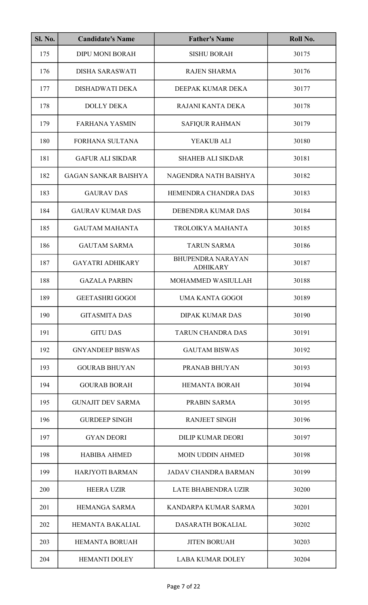| <b>Sl. No.</b> | <b>Candidate's Name</b>     | <b>Father's Name</b>                        | Roll No. |
|----------------|-----------------------------|---------------------------------------------|----------|
| 175            | <b>DIPU MONI BORAH</b>      | <b>SISHU BORAH</b>                          | 30175    |
| 176            | <b>DISHA SARASWATI</b>      | <b>RAJEN SHARMA</b>                         | 30176    |
| 177            | DISHADWATI DEKA             | DEEPAK KUMAR DEKA                           | 30177    |
| 178            | <b>DOLLY DEKA</b>           | RAJANI KANTA DEKA                           | 30178    |
| 179            | <b>FARHANA YASMIN</b>       | <b>SAFIQUR RAHMAN</b>                       | 30179    |
| 180            | FORHANA SULTANA             | YEAKUB ALI                                  | 30180    |
| 181            | <b>GAFUR ALI SIKDAR</b>     | <b>SHAHEB ALI SIKDAR</b>                    | 30181    |
| 182            | <b>GAGAN SANKAR BAISHYA</b> | NAGENDRA NATH BAISHYA                       | 30182    |
| 183            | <b>GAURAV DAS</b>           | HEMENDRA CHANDRA DAS                        | 30183    |
| 184            | <b>GAURAV KUMAR DAS</b>     | DEBENDRA KUMAR DAS                          | 30184    |
| 185            | <b>GAUTAM MAHANTA</b>       | TROLOIKYA MAHANTA                           | 30185    |
| 186            | <b>GAUTAM SARMA</b>         | <b>TARUN SARMA</b>                          | 30186    |
| 187            | <b>GAYATRI ADHIKARY</b>     | <b>BHUPENDRA NARAYAN</b><br><b>ADHIKARY</b> | 30187    |
| 188            | <b>GAZALA PARBIN</b>        | MOHAMMED WASIULLAH                          | 30188    |
| 189            | <b>GEETASHRI GOGOI</b>      | UMA KANTA GOGOI                             | 30189    |
| 190            | <b>GITASMITA DAS</b>        | <b>DIPAK KUMAR DAS</b>                      | 30190    |
| 191            | <b>GITU DAS</b>             | <b>TARUN CHANDRA DAS</b>                    | 30191    |
| 192            | <b>GNYANDEEP BISWAS</b>     | <b>GAUTAM BISWAS</b>                        | 30192    |
| 193            | <b>GOURAB BHUYAN</b>        | <b>PRANAB BHUYAN</b>                        | 30193    |
| 194            | <b>GOURAB BORAH</b>         | <b>HEMANTA BORAH</b>                        | 30194    |
| 195            | <b>GUNAJIT DEV SARMA</b>    | PRABIN SARMA                                | 30195    |
| 196            | <b>GURDEEP SINGH</b>        | <b>RANJEET SINGH</b>                        | 30196    |
| 197            | <b>GYAN DEORI</b>           | <b>DILIP KUMAR DEORI</b>                    | 30197    |
| 198            | <b>HABIBA AHMED</b>         | <b>MOIN UDDIN AHMED</b>                     | 30198    |
| 199            | HARJYOTI BARMAN             | <b>JADAV CHANDRA BARMAN</b>                 | 30199    |
| 200            | <b>HEERA UZIR</b>           | <b>LATE BHABENDRA UZIR</b>                  | 30200    |
| 201            | <b>HEMANGA SARMA</b>        | KANDARPA KUMAR SARMA                        | 30201    |
| 202            | HEMANTA BAKALIAL            | <b>DASARATH BOKALIAL</b>                    | 30202    |
| 203            | <b>HEMANTA BORUAH</b>       | <b>JITEN BORUAH</b>                         | 30203    |
| 204            | <b>HEMANTI DOLEY</b>        | <b>LABA KUMAR DOLEY</b>                     | 30204    |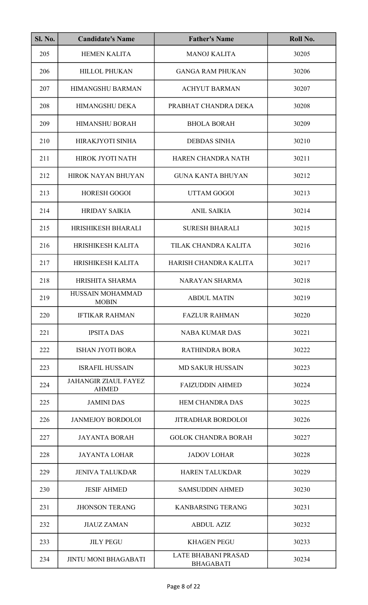| <b>Sl. No.</b> | <b>Candidate's Name</b>                     | <b>Father's Name</b>                           | Roll No. |
|----------------|---------------------------------------------|------------------------------------------------|----------|
| 205            | <b>HEMEN KALITA</b>                         | <b>MANOJ KALITA</b>                            | 30205    |
| 206            | <b>HILLOL PHUKAN</b>                        | <b>GANGA RAM PHUKAN</b>                        | 30206    |
| 207            | <b>HIMANGSHU BARMAN</b>                     | <b>ACHYUT BARMAN</b>                           | 30207    |
| 208            | HIMANGSHU DEKA                              | PRABHAT CHANDRA DEKA                           | 30208    |
| 209            | <b>HIMANSHU BORAH</b>                       | <b>BHOLA BORAH</b>                             | 30209    |
| 210            | HIRAKJYOTI SINHA                            | <b>DEBDAS SINHA</b>                            | 30210    |
| 211            | HIROK JYOTI NATH                            | HAREN CHANDRA NATH                             | 30211    |
| 212            | <b>HIROK NAYAN BHUYAN</b>                   | <b>GUNA KANTA BHUYAN</b>                       | 30212    |
| 213            | <b>HORESH GOGOI</b>                         | <b>UTTAM GOGOI</b>                             | 30213    |
| 214            | <b>HRIDAY SAIKIA</b>                        | <b>ANIL SAIKIA</b>                             | 30214    |
| 215            | HRISHIKESH BHARALI                          | <b>SURESH BHARALI</b>                          | 30215    |
| 216            | <b>HRISHIKESH KALITA</b>                    | TILAK CHANDRA KALITA                           | 30216    |
| 217            | HRISHIKESH KALITA                           | HARISH CHANDRA KALITA                          | 30217    |
| 218            | HRISHITA SHARMA                             | <b>NARAYAN SHARMA</b>                          | 30218    |
| 219            | HUSSAIN MOHAMMAD<br><b>MOBIN</b>            | <b>ABDUL MATIN</b>                             | 30219    |
| 220            | <b>IFTIKAR RAHMAN</b>                       | <b>FAZLUR RAHMAN</b>                           | 30220    |
| 221            | <b>IPSITA DAS</b>                           | <b>NABA KUMAR DAS</b>                          | 30221    |
| 222            | <b>ISHAN JYOTI BORA</b>                     | <b>RATHINDRA BORA</b>                          | 30222    |
| 223            | <b>ISRAFIL HUSSAIN</b>                      | <b>MD SAKUR HUSSAIN</b>                        | 30223    |
| 224            | <b>JAHANGIR ZIAUL FAYEZ</b><br><b>AHMED</b> | <b>FAIZUDDIN AHMED</b>                         | 30224    |
| 225            | <b>JAMINI DAS</b>                           | <b>HEM CHANDRA DAS</b>                         | 30225    |
| 226            | <b>JANMEJOY BORDOLOI</b>                    | <b>JITRADHAR BORDOLOI</b>                      | 30226    |
| 227            | <b>JAYANTA BORAH</b>                        | <b>GOLOK CHANDRA BORAH</b>                     | 30227    |
| 228            | <b>JAYANTA LOHAR</b>                        | <b>JADOV LOHAR</b>                             | 30228    |
| 229            | <b>JENIVA TALUKDAR</b>                      | <b>HAREN TALUKDAR</b>                          | 30229    |
| 230            | <b>JESIF AHMED</b>                          | <b>SAMSUDDIN AHMED</b>                         | 30230    |
| 231            | <b>JHONSON TERANG</b>                       | <b>KANBARSING TERANG</b>                       | 30231    |
| 232            | <b>JIAUZ ZAMAN</b>                          | <b>ABDUL AZIZ</b>                              | 30232    |
| 233            | <b>JILY PEGU</b>                            | <b>KHAGEN PEGU</b>                             | 30233    |
| 234            | <b>JINTU MONI BHAGABATI</b>                 | <b>LATE BHABANI PRASAD</b><br><b>BHAGABATI</b> | 30234    |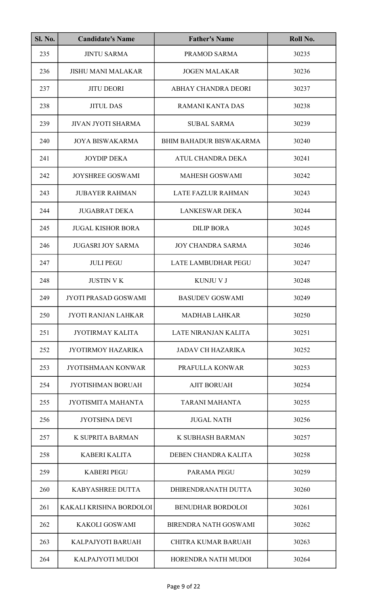| <b>Sl. No.</b> | <b>Candidate's Name</b>     | <b>Father's Name</b>           | Roll No. |
|----------------|-----------------------------|--------------------------------|----------|
| 235            | <b>JINTU SARMA</b>          | PRAMOD SARMA                   | 30235    |
| 236            | <b>JISHU MANI MALAKAR</b>   | <b>JOGEN MALAKAR</b>           | 30236    |
| 237            | <b>JITU DEORI</b>           | ABHAY CHANDRA DEORI            | 30237    |
| 238            | <b>JITUL DAS</b>            | <b>RAMANI KANTA DAS</b>        | 30238    |
| 239            | JIVAN JYOTI SHARMA          | <b>SUBAL SARMA</b>             | 30239    |
| 240            | <b>JOYA BISWAKARMA</b>      | <b>BHIM BAHADUR BISWAKARMA</b> | 30240    |
| 241            | <b>JOYDIP DEKA</b>          | ATUL CHANDRA DEKA              | 30241    |
| 242            | <b>JOYSHREE GOSWAMI</b>     | <b>MAHESH GOSWAMI</b>          | 30242    |
| 243            | <b>JUBAYER RAHMAN</b>       | <b>LATE FAZLUR RAHMAN</b>      | 30243    |
| 244            | <b>JUGABRAT DEKA</b>        | <b>LANKESWAR DEKA</b>          | 30244    |
| 245            | <b>JUGAL KISHOR BORA</b>    | <b>DILIP BORA</b>              | 30245    |
| 246            | <b>JUGASRI JOY SARMA</b>    | <b>JOY CHANDRA SARMA</b>       | 30246    |
| 247            | <b>JULI PEGU</b>            | <b>LATE LAMBUDHAR PEGU</b>     | 30247    |
| 248            | <b>JUSTIN VK</b>            | <b>KUNJU V J</b>               | 30248    |
| 249            | <b>JYOTI PRASAD GOSWAMI</b> | <b>BASUDEV GOSWAMI</b>         | 30249    |
| 250            | <b>JYOTI RANJAN LAHKAR</b>  | <b>MADHAB LAHKAR</b>           | 30250    |
| 251            | <b>JYOTIRMAY KALITA</b>     | LATE NIRANJAN KALITA           | 30251    |
| 252            | <b>JYOTIRMOY HAZARIKA</b>   | <b>JADAV CH HAZARIKA</b>       | 30252    |
| 253            | <b>JYOTISHMAAN KONWAR</b>   | PRAFULLA KONWAR                | 30253    |
| 254            | <b>JYOTISHMAN BORUAH</b>    | <b>AJIT BORUAH</b>             | 30254    |
| 255            | JYOTISMITA MAHANTA          | <b>TARANI MAHANTA</b>          | 30255    |
| 256            | <b>JYOTSHNA DEVI</b>        | <b>JUGAL NATH</b>              | 30256    |
| 257            | K SUPRITA BARMAN            | K SUBHASH BARMAN               | 30257    |
| 258            | <b>KABERI KALITA</b>        | DEBEN CHANDRA KALITA           | 30258    |
| 259            | <b>KABERI PEGU</b>          | <b>PARAMA PEGU</b>             | 30259    |
| 260            | <b>KABYASHREE DUTTA</b>     | DHIRENDRANATH DUTTA            | 30260    |
| 261            | KAKALI KRISHNA BORDOLOI     | <b>BENUDHAR BORDOLOI</b>       | 30261    |
| 262            | <b>KAKOLI GOSWAMI</b>       | <b>BIRENDRA NATH GOSWAMI</b>   | 30262    |
| 263            | KALPAJYOTI BARUAH           | <b>CHITRA KUMAR BARUAH</b>     | 30263    |
| 264            | KALPAJYOTI MUDOI            | HORENDRA NATH MUDOI            | 30264    |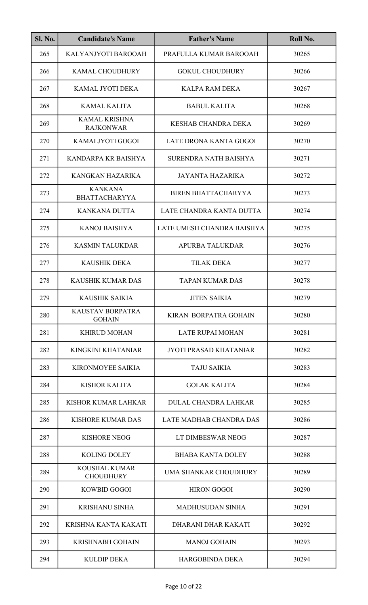| <b>Sl. No.</b> | <b>Candidate's Name</b>                  | <b>Father's Name</b>         | Roll No. |
|----------------|------------------------------------------|------------------------------|----------|
| 265            | KALYANJYOTI BAROOAH                      | PRAFULLA KUMAR BAROOAH       | 30265    |
| 266            | <b>KAMAL CHOUDHURY</b>                   | <b>GOKUL CHOUDHURY</b>       | 30266    |
| 267            | KAMAL JYOTI DEKA                         | <b>KALPA RAM DEKA</b>        | 30267    |
| 268            | <b>KAMAL KALITA</b>                      | <b>BABUL KALITA</b>          | 30268    |
| 269            | <b>KAMAL KRISHNA</b><br><b>RAJKONWAR</b> | KESHAB CHANDRA DEKA          | 30269    |
| 270            | KAMALJYOTI GOGOI                         | LATE DRONA KANTA GOGOI       | 30270    |
| 271            | KANDARPA KR BAISHYA                      | SURENDRA NATH BAISHYA        | 30271    |
| 272            | KANGKAN HAZARIKA                         | <b>JAYANTA HAZARIKA</b>      | 30272    |
| 273            | <b>KANKANA</b><br><b>BHATTACHARYYA</b>   | <b>BIREN BHATTACHARYYA</b>   | 30273    |
| 274            | KANKANA DUTTA                            | LATE CHANDRA KANTA DUTTA     | 30274    |
| 275            | <b>KANOJ BAISHYA</b>                     | LATE UMESH CHANDRA BAISHYA   | 30275    |
| 276            | <b>KASMIN TALUKDAR</b>                   | APURBA TALUKDAR              | 30276    |
| 277            | <b>KAUSHIK DEKA</b>                      | <b>TILAK DEKA</b>            | 30277    |
| 278            | KAUSHIK KUMAR DAS                        | <b>TAPAN KUMAR DAS</b>       | 30278    |
| 279            | KAUSHIK SAIKIA                           | <b>JITEN SAIKIA</b>          | 30279    |
| 280            | <b>KAUSTAV BORPATRA</b><br><b>GOHAIN</b> | <b>KIRAN BORPATRA GOHAIN</b> | 30280    |
| 281            | <b>KHIRUD MOHAN</b>                      | <b>LATE RUPAI MOHAN</b>      | 30281    |
| 282            | KINGKINI KHATANIAR                       | JYOTI PRASAD KHATANIAR       | 30282    |
| 283            | KIRONMOYEE SAIKIA                        | <b>TAJU SAIKIA</b>           | 30283    |
| 284            | <b>KISHOR KALITA</b>                     | <b>GOLAK KALITA</b>          | 30284    |
| 285            | KISHOR KUMAR LAHKAR                      | <b>DULAL CHANDRA LAHKAR</b>  | 30285    |
| 286            | <b>KISHORE KUMAR DAS</b>                 | LATE MADHAB CHANDRA DAS      | 30286    |
| 287            | <b>KISHORE NEOG</b>                      | LT DIMBESWAR NEOG            | 30287    |
| 288            | <b>KOLING DOLEY</b>                      | <b>BHABA KANTA DOLEY</b>     | 30288    |
| 289            | <b>KOUSHAL KUMAR</b><br><b>CHOUDHURY</b> | UMA SHANKAR CHOUDHURY        | 30289    |
| 290            | <b>KOWBID GOGOI</b>                      | <b>HIRON GOGOI</b>           | 30290    |
| 291            | <b>KRISHANU SINHA</b>                    | <b>MADHUSUDAN SINHA</b>      | 30291    |
| 292            | KRISHNA KANTA KAKATI                     | DHARANI DHAR KAKATI          | 30292    |
| 293            | <b>KRISHNABH GOHAIN</b>                  | <b>MANOJ GOHAIN</b>          | 30293    |
| 294            | <b>KULDIP DEKA</b>                       | <b>HARGOBINDA DEKA</b>       | 30294    |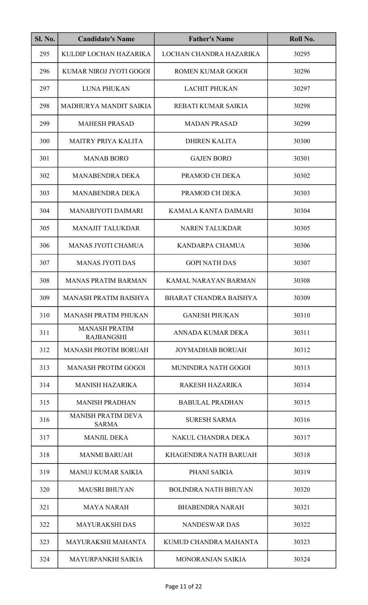| <b>Sl. No.</b> | <b>Candidate's Name</b>                   | <b>Father's Name</b>         | Roll No. |
|----------------|-------------------------------------------|------------------------------|----------|
| 295            | KULDIP LOCHAN HAZARIKA                    | LOCHAN CHANDRA HAZARIKA      | 30295    |
| 296            | KUMAR NIROJ JYOTI GOGOI                   | <b>ROMEN KUMAR GOGOI</b>     | 30296    |
| 297            | <b>LUNA PHUKAN</b>                        | <b>LACHIT PHUKAN</b>         | 30297    |
| 298            | MADHURYA MANDIT SAIKIA                    | REBATI KUMAR SAIKIA          | 30298    |
| 299            | <b>MAHESH PRASAD</b>                      | <b>MADAN PRASAD</b>          | 30299    |
| 300            | <b>MAITRY PRIYA KALITA</b>                | <b>DHIREN KALITA</b>         | 30300    |
| 301            | <b>MANAB BORO</b>                         | <b>GAJEN BORO</b>            | 30301    |
| 302            | <b>MANABENDRA DEKA</b>                    | PRAMOD CH DEKA               | 30302    |
| 303            | <b>MANABENDRA DEKA</b>                    | PRAMOD CH DEKA               | 30303    |
| 304            | <b>MANABJYOTI DAIMARI</b>                 | KAMALA KANTA DAIMARI         | 30304    |
| 305            | <b>MANAJIT TALUKDAR</b>                   | <b>NAREN TALUKDAR</b>        | 30305    |
| 306            | <b>MANAS JYOTI CHAMUA</b>                 | <b>KANDARPA CHAMUA</b>       | 30306    |
| 307            | <b>MANAS JYOTI DAS</b>                    | <b>GOPI NATH DAS</b>         | 30307    |
| 308            | <b>MANAS PRATIM BARMAN</b>                | KAMAL NARAYAN BARMAN         | 30308    |
| 309            | MANASH PRATIM BAISHYA                     | BHARAT CHANDRA BAISHYA       | 30309    |
| 310            | <b>MANASH PRATIM PHUKAN</b>               | <b>GANESH PHUKAN</b>         | 30310    |
| 311            | <b>MANASH PRATIM</b><br><b>RAJBANGSHI</b> | ANNADA KUMAR DEKA            | 30311    |
| 312            | <b>MANASH PROTIM BORUAH</b>               | <b>JOYMADHAB BORUAH</b>      | 30312    |
| 313            | <b>MANASH PROTIM GOGOI</b>                | MUNINDRA NATH GOGOI          | 30313    |
| 314            | <b>MANISH HAZARIKA</b>                    | RAKESH HAZARIKA              | 30314    |
| 315            | <b>MANISH PRADHAN</b>                     | <b>BABULAL PRADHAN</b>       | 30315    |
| 316            | <b>MANISH PRATIM DEVA</b><br><b>SARMA</b> | <b>SURESH SARMA</b>          | 30316    |
| 317            | <b>MANJIL DEKA</b>                        | NAKUL CHANDRA DEKA           | 30317    |
| 318            | <b>MANMI BARUAH</b>                       | <b>KHAGENDRA NATH BARUAH</b> | 30318    |
| 319            | <b>MANUJ KUMAR SAIKIA</b>                 | PHANI SAIKIA                 | 30319    |
| 320            | <b>MAUSRI BHUYAN</b>                      | <b>BOLINDRA NATH BHUYAN</b>  | 30320    |
| 321            | <b>MAYA NARAH</b>                         | <b>BHABENDRA NARAH</b>       | 30321    |
| 322            | <b>MAYURAKSHI DAS</b>                     | <b>NANDESWAR DAS</b>         | 30322    |
| 323            | MAYURAKSHI MAHANTA                        | KUMUD CHANDRA MAHANTA        | 30323    |
| 324            | <b>MAYURPANKHI SAIKIA</b>                 | <b>MONORANJAN SAIKIA</b>     | 30324    |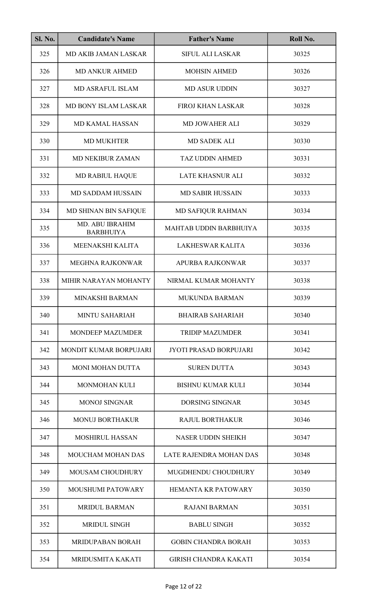| <b>Sl. No.</b> | <b>Candidate's Name</b>             | <b>Father's Name</b>          | Roll No. |
|----------------|-------------------------------------|-------------------------------|----------|
| 325            | MD AKIB JAMAN LASKAR                | <b>SIFUL ALI LASKAR</b>       | 30325    |
| 326            | <b>MD ANKUR AHMED</b>               | <b>MOHSIN AHMED</b>           | 30326    |
| 327            | <b>MD ASRAFUL ISLAM</b>             | <b>MD ASUR UDDIN</b>          | 30327    |
| 328            | MD BONY ISLAM LASKAR                | <b>FIROJ KHAN LASKAR</b>      | 30328    |
| 329            | <b>MD KAMAL HASSAN</b>              | <b>MD JOWAHER ALI</b>         | 30329    |
| 330            | <b>MD MUKHTER</b>                   | <b>MD SADEK ALI</b>           | 30330    |
| 331            | <b>MD NEKIBUR ZAMAN</b>             | <b>TAZ UDDIN AHMED</b>        | 30331    |
| 332            | <b>MD RABIUL HAQUE</b>              | <b>LATE KHASNUR ALI</b>       | 30332    |
| 333            | <b>MD SADDAM HUSSAIN</b>            | <b>MD SABIR HUSSAIN</b>       | 30333    |
| 334            | MD SHINAN BIN SAFIQUE               | <b>MD SAFIQUR RAHMAN</b>      | 30334    |
| 335            | MD. ABU IBRAHIM<br><b>BARBHUIYA</b> | MAHTAB UDDIN BARBHUIYA        | 30335    |
| 336            | MEENAKSHI KALITA                    | <b>LAKHESWAR KALITA</b>       | 30336    |
| 337            | <b>MEGHNA RAJKONWAR</b>             | <b>APURBA RAJKONWAR</b>       | 30337    |
| 338            | MIHIR NARAYAN MOHANTY               | NIRMAL KUMAR MOHANTY          | 30338    |
| 339            | MINAKSHI BARMAN                     | MUKUNDA BARMAN                | 30339    |
| 340            | <b>MINTU SAHARIAH</b>               | <b>BHAIRAB SAHARIAH</b>       | 30340    |
| 341            | <b>MONDEEP MAZUMDER</b>             | <b>TRIDIP MAZUMDER</b>        | 30341    |
| 342            | MONDIT KUMAR BORPUJARI              | <b>JYOTI PRASAD BORPUJARI</b> | 30342    |
| 343            | <b>MONI MOHAN DUTTA</b>             | <b>SUREN DUTTA</b>            | 30343    |
| 344            | <b>MONMOHAN KULI</b>                | <b>BISHNU KUMAR KULI</b>      | 30344    |
| 345            | <b>MONOJ SINGNAR</b>                | <b>DORSING SINGNAR</b>        | 30345    |
| 346            | <b>MONUJ BORTHAKUR</b>              | <b>RAJUL BORTHAKUR</b>        | 30346    |
| 347            | <b>MOSHIRUL HASSAN</b>              | <b>NASER UDDIN SHEIKH</b>     | 30347    |
| 348            | <b>MOUCHAM MOHAN DAS</b>            | LATE RAJENDRA MOHAN DAS       | 30348    |
| 349            | <b>MOUSAM CHOUDHURY</b>             | MUGDHENDU CHOUDHURY           | 30349    |
| 350            | <b>MOUSHUMI PATOWARY</b>            | <b>HEMANTA KR PATOWARY</b>    | 30350    |
| 351            | <b>MRIDUL BARMAN</b>                | <b>RAJANI BARMAN</b>          | 30351    |
| 352            | <b>MRIDUL SINGH</b>                 | <b>BABLU SINGH</b>            | 30352    |
| 353            | <b>MRIDUPABAN BORAH</b>             | <b>GOBIN CHANDRA BORAH</b>    | 30353    |
| 354            | MRIDUSMITA KAKATI                   | <b>GIRISH CHANDRA KAKATI</b>  | 30354    |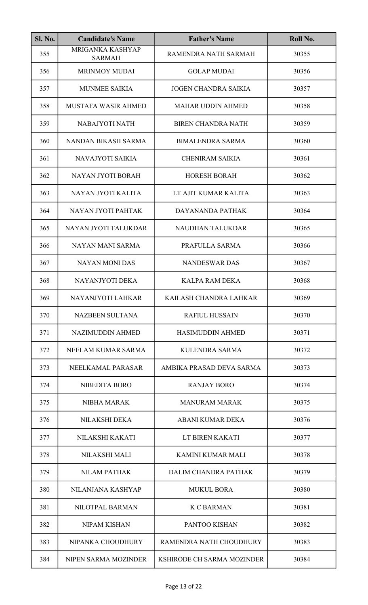| SI. No. | <b>Candidate's Name</b>           | <b>Father's Name</b>        | Roll No. |
|---------|-----------------------------------|-----------------------------|----------|
| 355     | MRIGANKA KASHYAP<br><b>SARMAH</b> | RAMENDRA NATH SARMAH        | 30355    |
| 356     | <b>MRINMOY MUDAI</b>              | <b>GOLAP MUDAI</b>          | 30356    |
| 357     | <b>MUNMEE SAIKIA</b>              | <b>JOGEN CHANDRA SAIKIA</b> | 30357    |
| 358     | MUSTAFA WASIR AHMED               | <b>MAHAR UDDIN AHMED</b>    | 30358    |
| 359     | NABAJYOTI NATH                    | <b>BIREN CHANDRA NATH</b>   | 30359    |
| 360     | NANDAN BIKASH SARMA               | <b>BIMALENDRA SARMA</b>     | 30360    |
| 361     | NAVAJYOTI SAIKIA                  | <b>CHENIRAM SAIKIA</b>      | 30361    |
| 362     | NAYAN JYOTI BORAH                 | <b>HORESH BORAH</b>         | 30362    |
| 363     | NAYAN JYOTI KALITA                | LT AJIT KUMAR KALITA        | 30363    |
| 364     | NAYAN JYOTI PAHTAK                | DAYANANDA PATHAK            | 30364    |
| 365     | NAYAN JYOTI TALUKDAR              | <b>NAUDHAN TALUKDAR</b>     | 30365    |
| 366     | NAYAN MANI SARMA                  | PRAFULLA SARMA              | 30366    |
| 367     | <b>NAYAN MONI DAS</b>             | <b>NANDESWAR DAS</b>        | 30367    |
| 368     | NAYANJYOTI DEKA                   | KALPA RAM DEKA              | 30368    |
| 369     | NAYANJYOTI LAHKAR                 | KAILASH CHANDRA LAHKAR      | 30369    |
| 370     | <b>NAZBEEN SULTANA</b>            | <b>RAFIUL HUSSAIN</b>       | 30370    |
| 371     | <b>NAZIMUDDIN AHMED</b>           | <b>HASIMUDDIN AHMED</b>     | 30371    |
| 372     | NEELAM KUMAR SARMA                | KULENDRA SARMA              | 30372    |
| 373     | NEELKAMAL PARASAR                 | AMBIKA PRASAD DEVA SARMA    | 30373    |
| 374     | <b>NIBEDITA BORO</b>              | <b>RANJAY BORO</b>          | 30374    |
| 375     | <b>NIBHA MARAK</b>                | <b>MANURAM MARAK</b>        | 30375    |
| 376     | NILAKSHI DEKA                     | <b>ABANI KUMAR DEKA</b>     | 30376    |
| 377     | NILAKSHI KAKATI                   | LT BIREN KAKATI             | 30377    |
| 378     | <b>NILAKSHI MALI</b>              | <b>KAMINI KUMAR MALI</b>    | 30378    |
| 379     | <b>NILAM PATHAK</b>               | DALIM CHANDRA PATHAK        | 30379    |
| 380     | NILANJANA KASHYAP                 | <b>MUKUL BORA</b>           | 30380    |
| 381     | NILOTPAL BARMAN                   | <b>K C BARMAN</b>           | 30381    |
| 382     | <b>NIPAM KISHAN</b>               | PANTOO KISHAN               | 30382    |
| 383     | NIPANKA CHOUDHURY                 | RAMENDRA NATH CHOUDHURY     | 30383    |
| 384     | NIPEN SARMA MOZINDER              | KSHIRODE CH SARMA MOZINDER  | 30384    |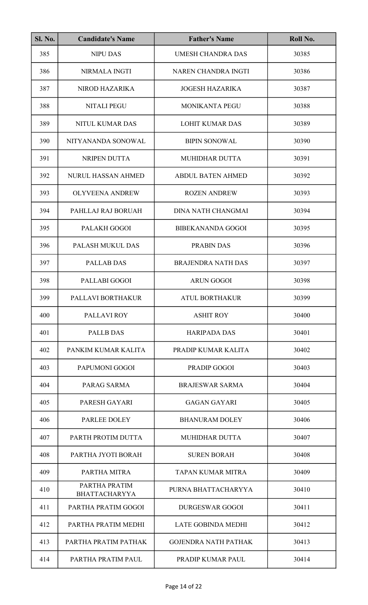| <b>Sl. No.</b> | <b>Candidate's Name</b>               | <b>Father's Name</b>        | Roll No. |
|----------------|---------------------------------------|-----------------------------|----------|
| 385            | <b>NIPU DAS</b>                       | <b>UMESH CHANDRA DAS</b>    | 30385    |
| 386            | NIRMALA INGTI                         | NAREN CHANDRA INGTI         | 30386    |
| 387            | NIROD HAZARIKA                        | <b>JOGESH HAZARIKA</b>      | 30387    |
| 388            | <b>NITALI PEGU</b>                    | <b>MONIKANTA PEGU</b>       | 30388    |
| 389            | NITUL KUMAR DAS                       | <b>LOHIT KUMAR DAS</b>      | 30389    |
| 390            | NITYANANDA SONOWAL                    | <b>BIPIN SONOWAL</b>        | 30390    |
| 391            | NRIPEN DUTTA                          | <b>MUHIDHAR DUTTA</b>       | 30391    |
| 392            | <b>NURUL HASSAN AHMED</b>             | <b>ABDUL BATEN AHMED</b>    | 30392    |
| 393            | <b>OLYVEENA ANDREW</b>                | <b>ROZEN ANDREW</b>         | 30393    |
| 394            | PAHLLAJ RAJ BORUAH                    | <b>DINA NATH CHANGMAI</b>   | 30394    |
| 395            | PALAKH GOGOI                          | <b>BIBEKANANDA GOGOI</b>    | 30395    |
| 396            | PALASH MUKUL DAS                      | PRABIN DAS                  | 30396    |
| 397            | <b>PALLAB DAS</b>                     | <b>BRAJENDRA NATH DAS</b>   | 30397    |
| 398            | PALLABI GOGOI                         | <b>ARUN GOGOI</b>           | 30398    |
| 399            | PALLAVI BORTHAKUR                     | <b>ATUL BORTHAKUR</b>       | 30399    |
| 400            | PALLAVI ROY                           | <b>ASHIT ROY</b>            | 30400    |
| 401            | <b>PALLB DAS</b>                      | <b>HARIPADA DAS</b>         | 30401    |
| 402            | PANKIM KUMAR KALITA                   | PRADIP KUMAR KALITA         | 30402    |
| 403            | PAPUMONI GOGOI                        | <b>PRADIP GOGOI</b>         | 30403    |
| 404            | PARAG SARMA                           | <b>BRAJESWAR SARMA</b>      | 30404    |
| 405            | PARESH GAYARI                         | <b>GAGAN GAYARI</b>         | 30405    |
| 406            | PARLEE DOLEY                          | <b>BHANURAM DOLEY</b>       | 30406    |
| 407            | PARTH PROTIM DUTTA                    | <b>MUHIDHAR DUTTA</b>       | 30407    |
| 408            | PARTHA JYOTI BORAH                    | <b>SUREN BORAH</b>          | 30408    |
| 409            | PARTHA MITRA                          | <b>TAPAN KUMAR MITRA</b>    | 30409    |
| 410            | PARTHA PRATIM<br><b>BHATTACHARYYA</b> | PURNA BHATTACHARYYA         | 30410    |
| 411            | PARTHA PRATIM GOGOI                   | <b>DURGESWAR GOGOI</b>      | 30411    |
| 412            | PARTHA PRATIM MEDHI                   | <b>LATE GOBINDA MEDHI</b>   | 30412    |
| 413            | PARTHA PRATIM PATHAK                  | <b>GOJENDRA NATH PATHAK</b> | 30413    |
| 414            | PARTHA PRATIM PAUL                    | PRADIP KUMAR PAUL           | 30414    |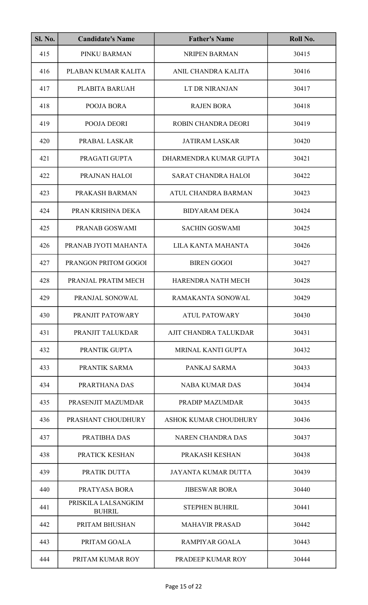| <b>Sl. No.</b> | <b>Candidate's Name</b>              | <b>Father's Name</b>         | Roll No. |
|----------------|--------------------------------------|------------------------------|----------|
| 415            | PINKU BARMAN                         | <b>NRIPEN BARMAN</b>         | 30415    |
| 416            | PLABAN KUMAR KALITA                  | ANIL CHANDRA KALITA          | 30416    |
| 417            | PLABITA BARUAH                       | LT DR NIRANJAN               | 30417    |
| 418            | POOJA BORA                           | <b>RAJEN BORA</b>            | 30418    |
| 419            | POOJA DEORI                          | ROBIN CHANDRA DEORI          | 30419    |
| 420            | PRABAL LASKAR                        | <b>JATIRAM LASKAR</b>        | 30420    |
| 421            | PRAGATI GUPTA                        | DHARMENDRA KUMAR GUPTA       | 30421    |
| 422            | PRAJNAN HALOI                        | <b>SARAT CHANDRA HALOI</b>   | 30422    |
| 423            | PRAKASH BARMAN                       | ATUL CHANDRA BARMAN          | 30423    |
| 424            | PRAN KRISHNA DEKA                    | <b>BIDYARAM DEKA</b>         | 30424    |
| 425            | PRANAB GOSWAMI                       | <b>SACHIN GOSWAMI</b>        | 30425    |
| 426            | PRANAB JYOTI MAHANTA                 | LILA KANTA MAHANTA           | 30426    |
| 427            | PRANGON PRITOM GOGOI                 | <b>BIREN GOGOI</b>           | 30427    |
| 428            | PRANJAL PRATIM MECH                  | HARENDRA NATH MECH           | 30428    |
| 429            | PRANJAL SONOWAL                      | RAMAKANTA SONOWAL            | 30429    |
| 430            | PRANJIT PATOWARY                     | <b>ATUL PATOWARY</b>         | 30430    |
| 431            | PRANJIT TALUKDAR                     | AJIT CHANDRA TALUKDAR        | 30431    |
| 432            | PRANTIK GUPTA                        | <b>MRINAL KANTI GUPTA</b>    | 30432    |
| 433            | PRANTIK SARMA                        | PANKAJ SARMA                 | 30433    |
| 434            | PRARTHANA DAS                        | <b>NABA KUMAR DAS</b>        | 30434    |
| 435            | PRASENJIT MAZUMDAR                   | PRADIP MAZUMDAR              | 30435    |
| 436            | PRASHANT CHOUDHURY                   | <b>ASHOK KUMAR CHOUDHURY</b> | 30436    |
| 437            | PRATIBHA DAS                         | <b>NAREN CHANDRA DAS</b>     | 30437    |
| 438            | PRATICK KESHAN                       | PRAKASH KESHAN               | 30438    |
| 439            | PRATIK DUTTA                         | <b>JAYANTA KUMAR DUTTA</b>   | 30439    |
| 440            | PRATYASA BORA                        | <b>JIBESWAR BORA</b>         | 30440    |
| 441            | PRISKILA LALSANGKIM<br><b>BUHRIL</b> | <b>STEPHEN BUHRIL</b>        | 30441    |
| 442            | PRITAM BHUSHAN                       | <b>MAHAVIR PRASAD</b>        | 30442    |
| 443            | PRITAM GOALA                         | <b>RAMPIYAR GOALA</b>        | 30443    |
| 444            | PRITAM KUMAR ROY                     | PRADEEP KUMAR ROY            | 30444    |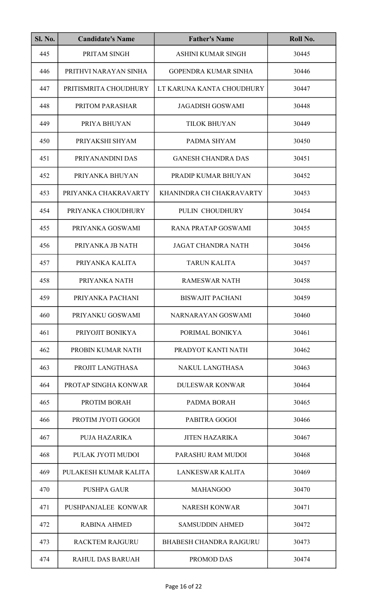| <b>Sl. No.</b> | <b>Candidate's Name</b> | <b>Father's Name</b>           | Roll No. |
|----------------|-------------------------|--------------------------------|----------|
| 445            | PRITAM SINGH            | <b>ASHINI KUMAR SINGH</b>      | 30445    |
| 446            | PRITHVI NARAYAN SINHA   | <b>GOPENDRA KUMAR SINHA</b>    | 30446    |
| 447            | PRITISMRITA CHOUDHURY   | LT KARUNA KANTA CHOUDHURY      | 30447    |
| 448            | PRITOM PARASHAR         | <b>JAGADISH GOSWAMI</b>        | 30448    |
| 449            | PRIYA BHUYAN            | <b>TILOK BHUYAN</b>            | 30449    |
| 450            | PRIYAKSHI SHYAM         | PADMA SHYAM                    | 30450    |
| 451            | PRIYANANDINI DAS        | <b>GANESH CHANDRA DAS</b>      | 30451    |
| 452            | PRIYANKA BHUYAN         | PRADIP KUMAR BHUYAN            | 30452    |
| 453            | PRIYANKA CHAKRAVARTY    | KHANINDRA CH CHAKRAVARTY       | 30453    |
| 454            | PRIYANKA CHOUDHURY      | PULIN CHOUDHURY                | 30454    |
| 455            | PRIYANKA GOSWAMI        | <b>RANA PRATAP GOSWAMI</b>     | 30455    |
| 456            | PRIYANKA JB NATH        | <b>JAGAT CHANDRA NATH</b>      | 30456    |
| 457            | PRIYANKA KALITA         | <b>TARUN KALITA</b>            | 30457    |
| 458            | PRIYANKA NATH           | <b>RAMESWAR NATH</b>           | 30458    |
| 459            | PRIYANKA PACHANI        | <b>BISWAJIT PACHANI</b>        | 30459    |
| 460            | PRIYANKU GOSWAMI        | NARNARAYAN GOSWAMI             | 30460    |
| 461            | PRIYOJIT BONIKYA        | PORIMAL BONIKYA                | 30461    |
| 462            | PROBIN KUMAR NATH       | PRADYOT KANTI NATH             | 30462    |
| 463            | PROJIT LANGTHASA        | NAKUL LANGTHASA                | 30463    |
| 464            | PROTAP SINGHA KONWAR    | <b>DULESWAR KONWAR</b>         | 30464    |
| 465            | PROTIM BORAH            | PADMA BORAH                    | 30465    |
| 466            | PROTIM JYOTI GOGOI      | PABITRA GOGOI                  | 30466    |
| 467            | PUJA HAZARIKA           | <b>JITEN HAZARIKA</b>          | 30467    |
| 468            | PULAK JYOTI MUDOI       | PARASHU RAM MUDOI              | 30468    |
| 469            | PULAKESH KUMAR KALITA   | LANKESWAR KALITA               | 30469    |
| 470            | <b>PUSHPA GAUR</b>      | <b>MAHANGOO</b>                | 30470    |
| 471            | PUSHPANJALEE KONWAR     | <b>NARESH KONWAR</b>           | 30471    |
| 472            | <b>RABINA AHMED</b>     | <b>SAMSUDDIN AHMED</b>         | 30472    |
| 473            | <b>RACKTEM RAJGURU</b>  | <b>BHABESH CHANDRA RAJGURU</b> | 30473    |
| 474            | <b>RAHUL DAS BARUAH</b> | PROMOD DAS                     | 30474    |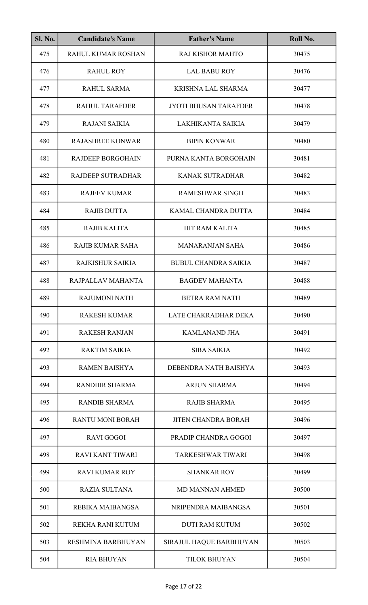| <b>Sl. No.</b> | <b>Candidate's Name</b>  | <b>Father's Name</b>         | Roll No. |
|----------------|--------------------------|------------------------------|----------|
| 475            | RAHUL KUMAR ROSHAN       | <b>RAJ KISHOR MAHTO</b>      | 30475    |
| 476            | <b>RAHUL ROY</b>         | <b>LAL BABU ROY</b>          | 30476    |
| 477            | <b>RAHUL SARMA</b>       | <b>KRISHNA LAL SHARMA</b>    | 30477    |
| 478            | <b>RAHUL TARAFDER</b>    | <b>JYOTI BHUSAN TARAFDER</b> | 30478    |
| 479            | <b>RAJANI SAIKIA</b>     | LAKHIKANTA SAIKIA            | 30479    |
| 480            | <b>RAJASHREE KONWAR</b>  | <b>BIPIN KONWAR</b>          | 30480    |
| 481            | <b>RAJDEEP BORGOHAIN</b> | PURNA KANTA BORGOHAIN        | 30481    |
| 482            | <b>RAJDEEP SUTRADHAR</b> | <b>KANAK SUTRADHAR</b>       | 30482    |
| 483            | <b>RAJEEV KUMAR</b>      | <b>RAMESHWAR SINGH</b>       | 30483    |
| 484            | <b>RAJIB DUTTA</b>       | KAMAL CHANDRA DUTTA          | 30484    |
| 485            | <b>RAJIB KALITA</b>      | HIT RAM KALITA               | 30485    |
| 486            | <b>RAJIB KUMAR SAHA</b>  | <b>MANARANJAN SAHA</b>       | 30486    |
| 487            | RAJKISHUR SAIKIA         | <b>BUBUL CHANDRA SAIKIA</b>  | 30487    |
| 488            | RAJPALLAV MAHANTA        | <b>BAGDEV MAHANTA</b>        | 30488    |
| 489            | <b>RAJUMONI NATH</b>     | <b>BETRA RAM NATH</b>        | 30489    |
| 490            | <b>RAKESH KUMAR</b>      | LATE CHAKRADHAR DEKA         | 30490    |
| 491            | <b>RAKESH RANJAN</b>     | <b>KAMLANAND JHA</b>         | 30491    |
| 492            | <b>RAKTIM SAIKIA</b>     | <b>SIBA SAIKIA</b>           | 30492    |
| 493            | <b>RAMEN BAISHYA</b>     | DEBENDRA NATH BAISHYA        | 30493    |
| 494            | <b>RANDHIR SHARMA</b>    | <b>ARJUN SHARMA</b>          | 30494    |
| 495            | <b>RANDIB SHARMA</b>     | <b>RAJIB SHARMA</b>          | 30495    |
| 496            | <b>RANTU MONI BORAH</b>  | <b>JITEN CHANDRA BORAH</b>   | 30496    |
| 497            | <b>RAVI GOGOI</b>        | PRADIP CHANDRA GOGOI         | 30497    |
| 498            | <b>RAVI KANT TIWARI</b>  | <b>TARKESHWAR TIWARI</b>     | 30498    |
| 499            | <b>RAVI KUMAR ROY</b>    | <b>SHANKAR ROY</b>           | 30499    |
| 500            | <b>RAZIA SULTANA</b>     | <b>MD MANNAN AHMED</b>       | 30500    |
| 501            | <b>REBIKA MAIBANGSA</b>  | NRIPENDRA MAIBANGSA          | 30501    |
| 502            | REKHA RANI KUTUM         | <b>DUTI RAM KUTUM</b>        | 30502    |
| 503            | RESHMINA BARBHUYAN       | SIRAJUL HAQUE BARBHUYAN      | 30503    |
| 504            | <b>RIA BHUYAN</b>        | <b>TILOK BHUYAN</b>          | 30504    |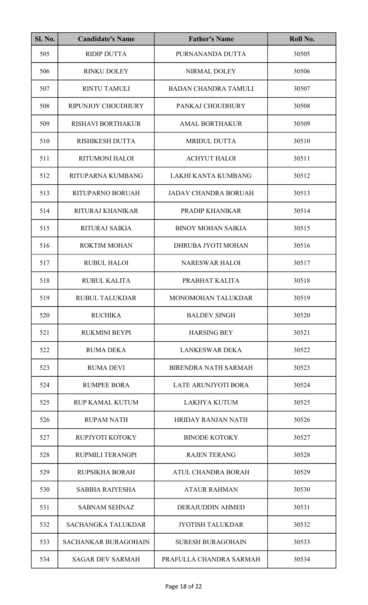| <b>Sl. No.</b> | <b>Candidate's Name</b>     | <b>Father's Name</b>        | Roll No. |
|----------------|-----------------------------|-----------------------------|----------|
| 505            | <b>RIDIP DUTTA</b>          | PURNANANDA DUTTA            | 30505    |
| 506            | RINKU DOLEY                 | NIRMAL DOLEY                | 30506    |
| 507            | <b>RINTU TAMULI</b>         | <b>BADAN CHANDRA TAMULI</b> | 30507    |
| 508            | RIPUNJOY CHOUDHURY          | PANKAJ CHOUDHURY            | 30508    |
| 509            | <b>RISHAVI BORTHAKUR</b>    | <b>AMAL BORTHAKUR</b>       | 30509    |
| 510            | <b>RISHIKESH DUTTA</b>      | <b>MRIDUL DUTTA</b>         | 30510    |
| 511            | RITUMONI HALOI              | <b>ACHYUT HALOI</b>         | 30511    |
| 512            | RITUPARNA KUMBANG           | LAKHI KANTA KUMBANG         | 30512    |
| 513            | <b>RITUPARNO BORUAH</b>     | <b>JADAV CHANDRA BORUAH</b> | 30513    |
| 514            | RITURAJ KHANIKAR            | PRADIP KHANIKAR             | 30514    |
| 515            | RITURAJ SAIKIA              | <b>BINOY MOHAN SAIKIA</b>   | 30515    |
| 516            | <b>ROKTIM MOHAN</b>         | DHRUBA JYOTI MOHAN          | 30516    |
| 517            | <b>RUBUL HALOI</b>          | <b>NARESWAR HALOI</b>       | 30517    |
| 518            | <b>RUBUL KALITA</b>         | PRABHAT KALITA              | 30518    |
| 519            | RUBUL TALUKDAR              | MONOMOHAN TALUKDAR          | 30519    |
| 520            | <b>RUCHIKA</b>              | <b>BALDEV SINGH</b>         | 30520    |
| 521            | <b>RUKMINI BEYPI</b>        | <b>HARSING BEY</b>          | 30521    |
| 522            | RUMA DEKA                   | <b>LANKESWAR DEKA</b>       | 30522    |
| 523            | <b>RUMA DEVI</b>            | <b>BIRENDRA NATH SARMAH</b> | 30523    |
| 524            | <b>RUMPEE BORA</b>          | <b>LATE ARUNJYOTI BORA</b>  | 30524    |
| 525            | <b>RUP KAMAL KUTUM</b>      | <b>LAKHYA KUTUM</b>         | 30525    |
| 526            | <b>RUPAM NATH</b>           | <b>HRIDAY RANJAN NATH</b>   | 30526    |
| 527            | RUPJYOTI KOTOKY             | <b>BINODE KOTOKY</b>        | 30527    |
| 528            | RUPMILI TERANGPI            | <b>RAJEN TERANG</b>         | 30528    |
| 529            | RUPSIKHA BORAH              | ATUL CHANDRA BORAH          | 30529    |
| 530            | <b>SABIHA RAIYESHA</b>      | <b>ATAUR RAHMAN</b>         | 30530    |
| 531            | <b>SABNAM SEHNAZ</b>        | <b>DERAJUDDIN AHMED</b>     | 30531    |
| 532            | <b>SACHANGKA TALUKDAR</b>   | <b>JYOTISH TALUKDAR</b>     | 30532    |
| 533            | <b>SACHANKAR BURAGOHAIN</b> | <b>SURESH BURAGOHAIN</b>    | 30533    |
| 534            | <b>SAGAR DEV SARMAH</b>     | PRAFULLA CHANDRA SARMAH     | 30534    |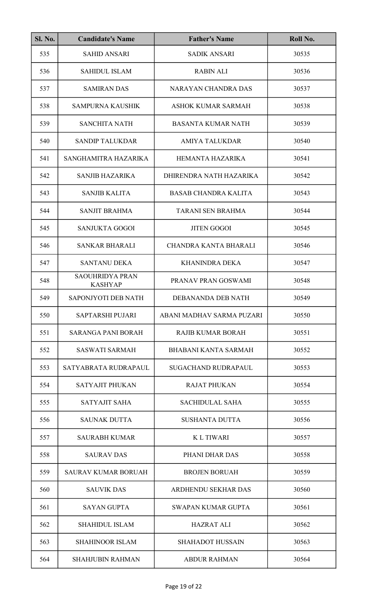| <b>Sl. No.</b> | <b>Candidate's Name</b>                  | <b>Father's Name</b>        | Roll No. |
|----------------|------------------------------------------|-----------------------------|----------|
| 535            | <b>SAHID ANSARI</b>                      | <b>SADIK ANSARI</b>         | 30535    |
| 536            | <b>SAHIDUL ISLAM</b>                     | <b>RABIN ALI</b>            | 30536    |
| 537            | <b>SAMIRAN DAS</b>                       | <b>NARAYAN CHANDRA DAS</b>  | 30537    |
| 538            | <b>SAMPURNA KAUSHIK</b>                  | ASHOK KUMAR SARMAH          | 30538    |
| 539            | <b>SANCHITA NATH</b>                     | <b>BASANTA KUMAR NATH</b>   | 30539    |
| 540            | <b>SANDIP TALUKDAR</b>                   | <b>AMIYA TALUKDAR</b>       | 30540    |
| 541            | SANGHAMITRA HAZARIKA                     | HEMANTA HAZARIKA            | 30541    |
| 542            | <b>SANJIB HAZARIKA</b>                   | DHIRENDRA NATH HAZARIKA     | 30542    |
| 543            | <b>SANJIB KALITA</b>                     | <b>BASAB CHANDRA KALITA</b> | 30543    |
| 544            | <b>SANJIT BRAHMA</b>                     | <b>TARANI SEN BRAHMA</b>    | 30544    |
| 545            | <b>SANJUKTA GOGOI</b>                    | <b>JITEN GOGOI</b>          | 30545    |
| 546            | <b>SANKAR BHARALI</b>                    | CHANDRA KANTA BHARALI       | 30546    |
| 547            | <b>SANTANU DEKA</b>                      | <b>KHANINDRA DEKA</b>       | 30547    |
| 548            | <b>SAOUHRIDYA PRAN</b><br><b>KASHYAP</b> | PRANAV PRAN GOSWAMI         | 30548    |
| 549            | SAPONJYOTI DEB NATH                      | DEBANANDA DEB NATH          | 30549    |
| 550            | <b>SAPTARSHI PUJARI</b>                  | ABANI MADHAV SARMA PUZARI   | 30550    |
| 551            | <b>SARANGA PANI BORAH</b>                | <b>RAJIB KUMAR BORAH</b>    | 30551    |
| 552            | <b>SASWATI SARMAH</b>                    | <b>BHABANI KANTA SARMAH</b> | 30552    |
| 553            | SATYABRATA RUDRAPAUL                     | <b>SUGACHAND RUDRAPAUL</b>  | 30553    |
| 554            | <b>SATYAJIT PHUKAN</b>                   | <b>RAJAT PHUKAN</b>         | 30554    |
| 555            | <b>SATYAJIT SAHA</b>                     | <b>SACHIDULAL SAHA</b>      | 30555    |
| 556            | <b>SAUNAK DUTTA</b>                      | <b>SUSHANTA DUTTA</b>       | 30556    |
| 557            | <b>SAURABH KUMAR</b>                     | <b>KLTIWARI</b>             | 30557    |
| 558            | <b>SAURAV DAS</b>                        | PHANI DHAR DAS              | 30558    |
| 559            | <b>SAURAV KUMAR BORUAH</b>               | <b>BROJEN BORUAH</b>        | 30559    |
| 560            | <b>SAUVIK DAS</b>                        | ARDHENDU SEKHAR DAS         | 30560    |
| 561            | <b>SAYAN GUPTA</b>                       | <b>SWAPAN KUMAR GUPTA</b>   | 30561    |
| 562            | <b>SHAHIDUL ISLAM</b>                    | <b>HAZRAT ALI</b>           | 30562    |
| 563            | <b>SHAHINOOR ISLAM</b>                   | <b>SHAHADOT HUSSAIN</b>     | 30563    |
| 564            | <b>SHAHJUBIN RAHMAN</b>                  | <b>ABDUR RAHMAN</b>         | 30564    |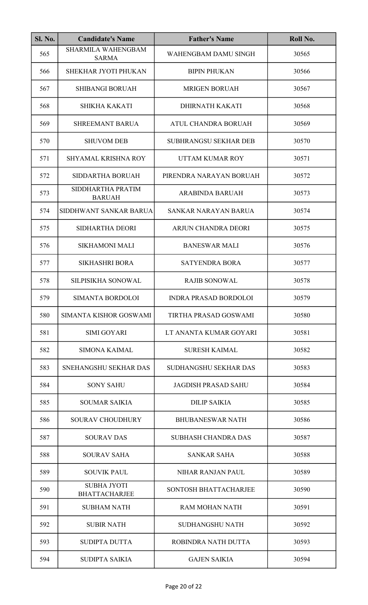| <b>Sl. No.</b> | <b>Candidate's Name</b>                    | <b>Father's Name</b>         | Roll No. |
|----------------|--------------------------------------------|------------------------------|----------|
| 565            | <b>SHARMILA WAHENGBAM</b><br><b>SARMA</b>  | WAHENGBAM DAMU SINGH         | 30565    |
| 566            | SHEKHAR JYOTI PHUKAN                       | <b>BIPIN PHUKAN</b>          | 30566    |
| 567            | <b>SHIBANGI BORUAH</b>                     | <b>MRIGEN BORUAH</b>         | 30567    |
| 568            | <b>SHIKHA KAKATI</b>                       | DHIRNATH KAKATI              | 30568    |
| 569            | <b>SHREEMANT BARUA</b>                     | ATUL CHANDRA BORUAH          | 30569    |
| 570            | <b>SHUVOM DEB</b>                          | <b>SUBHRANGSU SEKHAR DEB</b> | 30570    |
| 571            | <b>SHYAMAL KRISHNA ROY</b>                 | UTTAM KUMAR ROY              | 30571    |
| 572            | SIDDARTHA BORUAH                           | PIRENDRA NARAYAN BORUAH      | 30572    |
| 573            | SIDDHARTHA PRATIM<br><b>BARUAH</b>         | <b>ARABINDA BARUAH</b>       | 30573    |
| 574            | SIDDHWANT SANKAR BARUA                     | SANKAR NARAYAN BARUA         | 30574    |
| 575            | <b>SIDHARTHA DEORI</b>                     | ARJUN CHANDRA DEORI          | 30575    |
| 576            | <b>SIKHAMONI MALI</b>                      | <b>BANESWAR MALI</b>         | 30576    |
| 577            | <b>SIKHASHRI BORA</b>                      | <b>SATYENDRA BORA</b>        | 30577    |
| 578            | SILPISIKHA SONOWAL                         | <b>RAJIB SONOWAL</b>         | 30578    |
| 579            | SIMANTA BORDOLOI                           | <b>INDRA PRASAD BORDOLOI</b> | 30579    |
| 580            | SIMANTA KISHOR GOSWAMI                     | TIRTHA PRASAD GOSWAMI        | 30580    |
| 581            | <b>SIMI GOYARI</b>                         | LT ANANTA KUMAR GOYARI       | 30581    |
| 582            | <b>SIMONA KAIMAL</b>                       | <b>SURESH KAIMAL</b>         | 30582    |
| 583            | SNEHANGSHU SEKHAR DAS                      | <b>SUDHANGSHU SEKHAR DAS</b> | 30583    |
| 584            | <b>SONY SAHU</b>                           | <b>JAGDISH PRASAD SAHU</b>   | 30584    |
| 585            | <b>SOUMAR SAIKIA</b>                       | <b>DILIP SAIKIA</b>          | 30585    |
| 586            | <b>SOURAV CHOUDHURY</b>                    | <b>BHUBANESWAR NATH</b>      | 30586    |
| 587            | <b>SOURAV DAS</b>                          | <b>SUBHASH CHANDRA DAS</b>   | 30587    |
| 588            | <b>SOURAV SAHA</b>                         | <b>SANKAR SAHA</b>           | 30588    |
| 589            | <b>SOUVIK PAUL</b>                         | NIHAR RANJAN PAUL            | 30589    |
| 590            | <b>SUBHA JYOTI</b><br><b>BHATTACHARJEE</b> | SONTOSH BHATTACHARJEE        | 30590    |
| 591            | <b>SUBHAM NATH</b>                         | <b>RAM MOHAN NATH</b>        | 30591    |
| 592            | <b>SUBIR NATH</b>                          | <b>SUDHANGSHU NATH</b>       | 30592    |
| 593            | <b>SUDIPTA DUTTA</b>                       | ROBINDRA NATH DUTTA          | 30593    |
| 594            | SUDIPTA SAIKIA                             | <b>GAJEN SAIKIA</b>          | 30594    |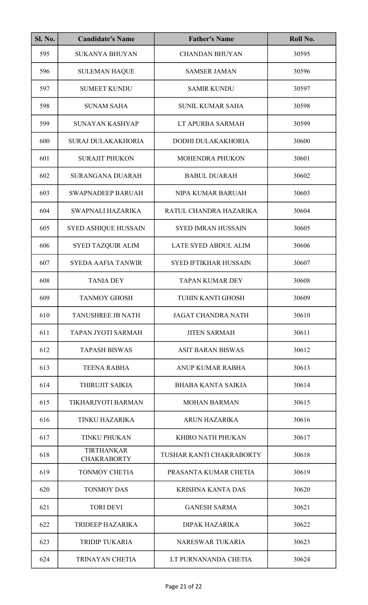| <b>Sl. No.</b> | <b>Candidate's Name</b>                 | <b>Father's Name</b>         | Roll No. |
|----------------|-----------------------------------------|------------------------------|----------|
| 595            | <b>SUKANYA BHUYAN</b>                   | <b>CHANDAN BHUYAN</b>        | 30595    |
| 596            | <b>SULEMAN HAQUE</b>                    | <b>SAMSER JAMAN</b>          | 30596    |
| 597            | <b>SUMEET KUNDU</b>                     | <b>SAMIR KUNDU</b>           | 30597    |
| 598            | <b>SUNAM SAHA</b>                       | <b>SUNIL KUMAR SAHA</b>      | 30598    |
| 599            | <b>SUNAYAN KASHYAP</b>                  | LT APURBA SARMAH             | 30599    |
| 600            | <b>SURAJ DULAKAKHORIA</b>               | DODHI DULAKAKHORIA           | 30600    |
| 601            | <b>SURAJIT PHUKON</b>                   | MOHENDRA PHUKON              | 30601    |
| 602            | <b>SURANGANA DUARAH</b>                 | <b>BABUL DUARAH</b>          | 30602    |
| 603            | <b>SWAPNADEEP BARUAH</b>                | NIPA KUMAR BARUAH            | 30603    |
| 604            | SWAPNALI HAZARIKA                       | RATUL CHANDRA HAZARIKA       | 30604    |
| 605            | <b>SYED ASHIQUE HUSSAIN</b>             | <b>SYED IMRAN HUSSAIN</b>    | 30605    |
| 606            | SYED TAZQUIR ALIM                       | <b>LATE SYED ABDUL ALIM</b>  | 30606    |
| 607            | <b>SYEDA AAFIA TANWIR</b>               | <b>SYED IFTIKHAR HUSSAIN</b> | 30607    |
| 608            | <b>TANIA DEY</b>                        | <b>TAPAN KUMAR DEY</b>       | 30608    |
| 609            | <b>TANMOY GHOSH</b>                     | TUHIN KANTI GHOSH            | 30609    |
| 610            | <b>TANUSHREE JB NATH</b>                | <b>JAGAT CHANDRA NATH</b>    | 30610    |
| 611            | <b>TAPAN JYOTI SARMAH</b>               | <b>JITEN SARMAH</b>          | 30611    |
| 612            | <b>TAPASH BISWAS</b>                    | <b>ASIT BARAN BISWAS</b>     | 30612    |
| 613            | <b>TEENA RABHA</b>                      | ANUP KUMAR RABHA             | 30613    |
| 614            | THIRUJIT SAIKIA                         | <b>BHABA KANTA SAIKIA</b>    | 30614    |
| 615            | TIKHARJYOTI BARMAN                      | <b>MOHAN BARMAN</b>          | 30615    |
| 616            | <b>TINKU HAZARIKA</b>                   | <b>ARUN HAZARIKA</b>         | 30616    |
| 617            | <b>TINKU PHUKAN</b>                     | KHIRO NATH PHUKAN            | 30617    |
| 618            | <b>TIRTHANKAR</b><br><b>CHAKRABORTY</b> | TUSHAR KANTI CHAKRABORTY     | 30618    |
| 619            | TONMOY CHETIA                           | PRASANTA KUMAR CHETIA        | 30619    |
| 620            | <b>TONMOY DAS</b>                       | <b>KRISHNA KANTA DAS</b>     | 30620    |
| 621            | <b>TORI DEVI</b>                        | <b>GANESH SARMA</b>          | 30621    |
| 622            | TRIDEEP HAZARIKA                        | <b>DIPAK HAZARIKA</b>        | 30622    |
| 623            | <b>TRIDIP TUKARIA</b>                   | <b>NARESWAR TUKARIA</b>      | 30623    |
| 624            | <b>TRINAYAN CHETIA</b>                  | LT PURNANANDA CHETIA         | 30624    |